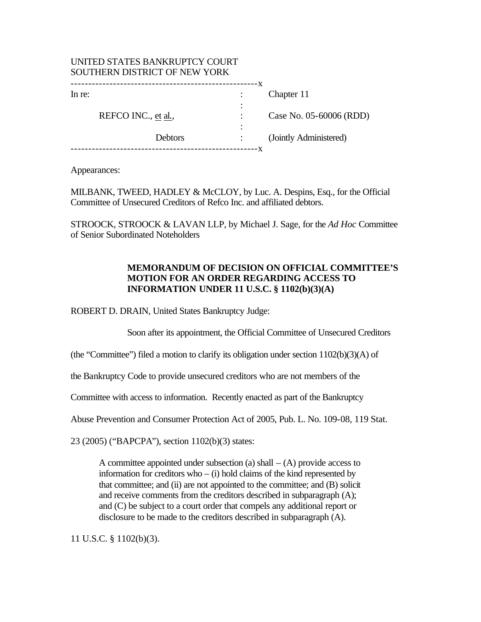| UNITED STATES BANKRUPTCY COURT<br>SOUTHERN DISTRICT OF NEW YORK |         |        |                         |
|-----------------------------------------------------------------|---------|--------|-------------------------|
| In re:                                                          |         | ٠      | Chapter 11              |
| REFCO INC., et al.,                                             |         | ٠<br>٠ | Case No. 05-60006 (RDD) |
|                                                                 | Debtors |        | (Jointly Administered)  |
|                                                                 |         |        |                         |

## Appearances:

MILBANK, TWEED, HADLEY & McCLOY, by Luc. A. Despins, Esq., for the Official Committee of Unsecured Creditors of Refco Inc. and affiliated debtors.

STROOCK, STROOCK & LAVAN LLP, by Michael J. Sage, for the *Ad Hoc* Committee of Senior Subordinated Noteholders

# **MEMORANDUM OF DECISION ON OFFICIAL COMMITTEE'S MOTION FOR AN ORDER REGARDING ACCESS TO INFORMATION UNDER 11 U.S.C. § 1102(b)(3)(A)**

ROBERT D. DRAIN, United States Bankruptcy Judge:

Soon after its appointment, the Official Committee of Unsecured Creditors

(the "Committee") filed a motion to clarify its obligation under section  $1102(b)(3)(A)$  of

the Bankruptcy Code to provide unsecured creditors who are not members of the

Committee with access to information. Recently enacted as part of the Bankruptcy

Abuse Prevention and Consumer Protection Act of 2005, Pub. L. No. 109-08, 119 Stat.

23 (2005) ("BAPCPA"), section 1102(b)(3) states:

A committee appointed under subsection (a) shall  $-$  (A) provide access to information for creditors who  $-$  (i) hold claims of the kind represented by that committee; and (ii) are not appointed to the committee; and (B) solicit and receive comments from the creditors described in subparagraph (A); and (C) be subject to a court order that compels any additional report or disclosure to be made to the creditors described in subparagraph (A).

11 U.S.C. § 1102(b)(3).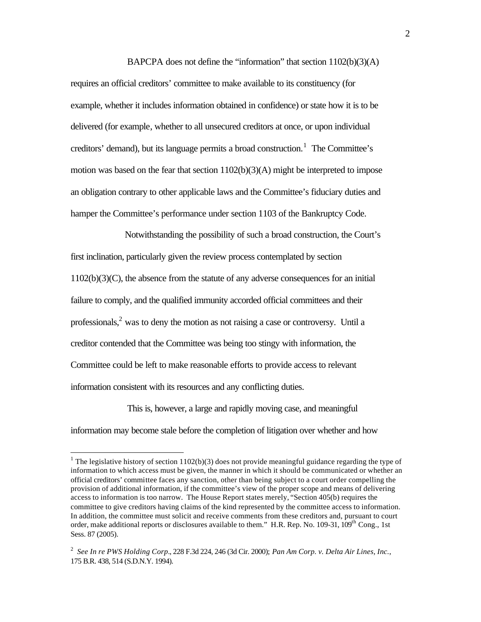BAPCPA does not define the "information" that section 1102(b)(3)(A) requires an official creditors' committee to make available to its constituency (for example, whether it includes information obtained in confidence) or state how it is to be delivered (for example, whether to all unsecured creditors at once, or upon individual creditors' demand), but its language permits a broad construction.<sup>1</sup> The Committee's motion was based on the fear that section  $1102(b)(3)(A)$  might be interpreted to impose an obligation contrary to other applicable laws and the Committee's fiduciary duties and hamper the Committee's performance under section 1103 of the Bankruptcy Code.

 Notwithstanding the possibility of such a broad construction, the Court's first inclination, particularly given the review process contemplated by section 1102(b)(3)(C), the absence from the statute of any adverse consequences for an initial failure to comply, and the qualified immunity accorded official committees and their professionals, $<sup>2</sup>$  was to deny the motion as not raising a case or controversy. Until a</sup> creditor contended that the Committee was being too stingy with information, the Committee could be left to make reasonable efforts to provide access to relevant information consistent with its resources and any conflicting duties.

This is, however, a large and rapidly moving case, and meaningful information may become stale before the completion of litigation over whether and how

<sup>&</sup>lt;sup>1</sup> The legislative history of section 1102(b)(3) does not provide meaningful guidance regarding the type of information to which access must be given, the manner in which it should be communicated or whether an official creditors' committee faces any sanction, other than being subject to a court order compelling the provision of additional information, if the committee's view of the proper scope and means of delivering access to information is too narrow. The House Report states merely, "Section 405(b) requires the committee to give creditors having claims of the kind represented by the committee access to information. In addition, the committee must solicit and receive comments from these creditors and, pursuant to court order, make additional reports or disclosures available to them." H.R. Rep. No. 109-31, 109<sup>th</sup> Cong., 1st Sess. 87 (2005).

<sup>2</sup> *See In re PWS Holding Corp.*, 228 F.3d 224, 246 (3d Cir. 2000); *Pan Am Corp. v. Delta Air Lines, Inc.*, 175 B.R. 438, 514 (S.D.N.Y. 1994).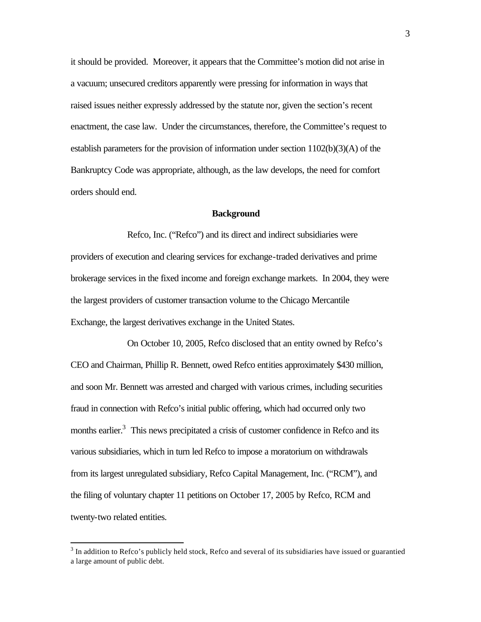it should be provided. Moreover, it appears that the Committee's motion did not arise in a vacuum; unsecured creditors apparently were pressing for information in ways that raised issues neither expressly addressed by the statute nor, given the section's recent enactment, the case law. Under the circumstances, therefore, the Committee's request to establish parameters for the provision of information under section 1102(b)(3)(A) of the Bankruptcy Code was appropriate, although, as the law develops, the need for comfort orders should end.

### **Background**

Refco, Inc. ("Refco") and its direct and indirect subsidiaries were providers of execution and clearing services for exchange-traded derivatives and prime brokerage services in the fixed income and foreign exchange markets. In 2004, they were the largest providers of customer transaction volume to the Chicago Mercantile Exchange, the largest derivatives exchange in the United States.

 On October 10, 2005, Refco disclosed that an entity owned by Refco's CEO and Chairman, Phillip R. Bennett, owed Refco entities approximately \$430 million, and soon Mr. Bennett was arrested and charged with various crimes, including securities fraud in connection with Refco's initial public offering, which had occurred only two months earlier.<sup>3</sup> This news precipitated a crisis of customer confidence in Refco and its various subsidiaries, which in turn led Refco to impose a moratorium on withdrawals from its largest unregulated subsidiary, Refco Capital Management, Inc. ("RCM"), and the filing of voluntary chapter 11 petitions on October 17, 2005 by Refco, RCM and twenty-two related entities.

 $3$  In addition to Refco's publicly held stock, Refco and several of its subsidiaries have issued or guarantied a large amount of public debt.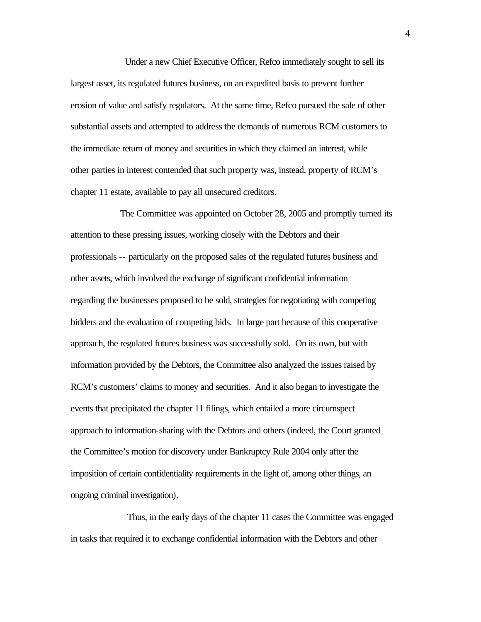Under a new Chief Executive Officer, Refco immediately sought to sell its largest asset, its regulated futures business, on an expedited basis to prevent further erosion of value and satisfy regulators. At the same time, Refco pursued the sale of other substantial assets and attempted to address the demands of numerous RCM customers to the immediate return of money and securities in which they claimed an interest, while other parties in interest contended that such property was, instead, property of RCM's chapter 11 estate, available to pay all unsecured creditors.

 The Committee was appointed on October 28, 2005 and promptly turned its attention to these pressing issues, working closely with the Debtors and their professionals -- particularly on the proposed sales of the regulated futures business and other assets, which involved the exchange of significant confidential information regarding the businesses proposed to be sold, strategies for negotiating with competing bidders and the evaluation of competing bids. In large part because of this cooperative approach, the regulated futures business was successfully sold. On its own, but with information provided by the Debtors, the Committee also analyzed the issues raised by RCM's customers' claims to money and securities. And it also began to investigate the events that precipitated the chapter 11 filings, which entailed a more circumspect approach to information-sharing with the Debtors and others (indeed, the Court granted the Committee's motion for discovery under Bankruptcy Rule 2004 only after the imposition of certain confidentiality requirements in the light of, among other things, an ongoing criminal investigation).

Thus, in the early days of the chapter 11 cases the Committee was engaged in tasks that required it to exchange confidential information with the Debtors and other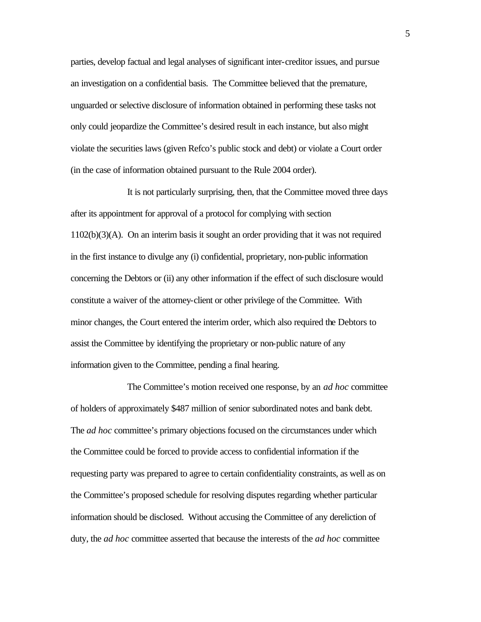parties, develop factual and legal analyses of significant inter-creditor issues, and pursue an investigation on a confidential basis. The Committee believed that the premature, unguarded or selective disclosure of information obtained in performing these tasks not only could jeopardize the Committee's desired result in each instance, but also might violate the securities laws (given Refco's public stock and debt) or violate a Court order (in the case of information obtained pursuant to the Rule 2004 order).

 It is not particularly surprising, then, that the Committee moved three days after its appointment for approval of a protocol for complying with section 1102(b)(3)(A). On an interim basis it sought an order providing that it was not required in the first instance to divulge any (i) confidential, proprietary, non-public information concerning the Debtors or (ii) any other information if the effect of such disclosure would constitute a waiver of the attorney-client or other privilege of the Committee. With minor changes, the Court entered the interim order, which also required the Debtors to assist the Committee by identifying the proprietary or non-public nature of any information given to the Committee, pending a final hearing.

The Committee's motion received one response, by an *ad hoc* committee of holders of approximately \$487 million of senior subordinated notes and bank debt. The *ad hoc* committee's primary objections focused on the circumstances under which the Committee could be forced to provide access to confidential information if the requesting party was prepared to agree to certain confidentiality constraints, as well as on the Committee's proposed schedule for resolving disputes regarding whether particular information should be disclosed. Without accusing the Committee of any dereliction of duty, the *ad hoc* committee asserted that because the interests of the *ad hoc* committee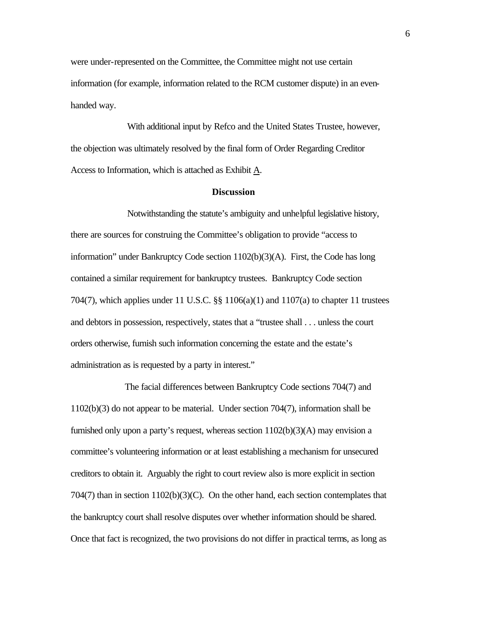were under-represented on the Committee, the Committee might not use certain information (for example, information related to the RCM customer dispute) in an evenhanded way.

With additional input by Refco and the United States Trustee, however, the objection was ultimately resolved by the final form of Order Regarding Creditor Access to Information, which is attached as Exhibit A.

## **Discussion**

Notwithstanding the statute's ambiguity and unhelpful legislative history, there are sources for construing the Committee's obligation to provide "access to information" under Bankruptcy Code section 1102(b)(3)(A). First, the Code has long contained a similar requirement for bankruptcy trustees. Bankruptcy Code section 704(7), which applies under 11 U.S.C.  $\S$  1106(a)(1) and 1107(a) to chapter 11 trustees and debtors in possession, respectively, states that a "trustee shall . . . unless the court orders otherwise, furnish such information concerning the estate and the estate's administration as is requested by a party in interest."

 The facial differences between Bankruptcy Code sections 704(7) and 1102(b)(3) do not appear to be material. Under section 704(7), information shall be furnished only upon a party's request, whereas section  $1102(b)(3)(A)$  may envision a committee's volunteering information or at least establishing a mechanism for unsecured creditors to obtain it. Arguably the right to court review also is more explicit in section 704(7) than in section 1102(b)(3)(C). On the other hand, each section contemplates that the bankruptcy court shall resolve disputes over whether information should be shared. Once that fact is recognized, the two provisions do not differ in practical terms, as long as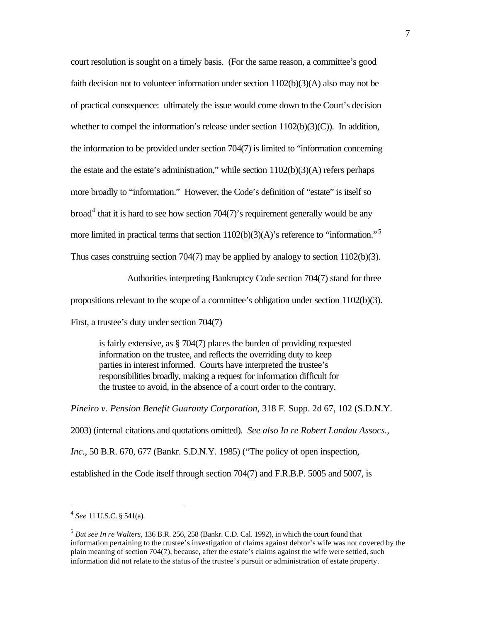court resolution is sought on a timely basis. (For the same reason, a committee's good faith decision not to volunteer information under section  $1102(b)(3)(A)$  also may not be of practical consequence: ultimately the issue would come down to the Court's decision whether to compel the information's release under section  $1102(b)(3)(C)$ ). In addition, the information to be provided under section 704(7) is limited to "information concerning the estate and the estate's administration," while section  $1102(b)(3)(A)$  refers perhaps more broadly to "information." However, the Code's definition of "estate" is itself so broad<sup>4</sup> that it is hard to see how section  $704(7)$ 's requirement generally would be any more limited in practical terms that section  $1102(b)(3)(A)$ 's reference to "information."<sup>5</sup> Thus cases construing section 704(7) may be applied by analogy to section 1102(b)(3).

Authorities interpreting Bankruptcy Code section 704(7) stand for three

propositions relevant to the scope of a committee's obligation under section 1102(b)(3).

First, a trustee's duty under section 704(7)

is fairly extensive, as § 704(7) places the burden of providing requested information on the trustee, and reflects the overriding duty to keep parties in interest informed. Courts have interpreted the trustee's responsibilities broadly, making a request for information difficult for the trustee to avoid, in the absence of a court order to the contrary.

*Pineiro v. Pension Benefit Guaranty Corporation*, 318 F. Supp. 2d 67, 102 (S.D.N.Y. 2003) (internal citations and quotations omitted). *See also In re Robert Landau Assocs., Inc.*, 50 B.R. 670, 677 (Bankr. S.D.N.Y. 1985) ("The policy of open inspection, established in the Code itself through section 704(7) and F.R.B.P. 5005 and 5007, is

 4 *See* 11 U.S.C. § 541(a).

<sup>5</sup> *But see In re Walters*, 136 B.R. 256, 258 (Bankr. C.D. Cal. 1992), in which the court found that information pertaining to the trustee's investigation of claims against debtor's wife was not covered by the plain meaning of section 704(7), because, after the estate's claims against the wife were settled, such information did not relate to the status of the trustee's pursuit or administration of estate property.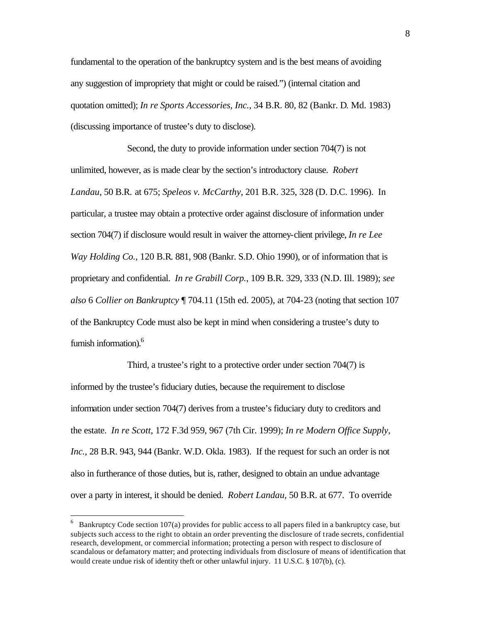fundamental to the operation of the bankruptcy system and is the best means of avoiding any suggestion of impropriety that might or could be raised.") (internal citation and quotation omitted); *In re Sports Accessories, Inc.*, 34 B.R. 80, 82 (Bankr. D. Md. 1983) (discussing importance of trustee's duty to disclose).

Second, the duty to provide information under section 704(7) is not unlimited, however, as is made clear by the section's introductory clause. *Robert Landau*, 50 B.R. at 675; *Speleos v. McCarthy*, 201 B.R. 325, 328 (D. D.C. 1996). In particular, a trustee may obtain a protective order against disclosure of information under section 704(7) if disclosure would result in waiver the attorney-client privilege, *In re Lee Way Holding Co.*, 120 B.R. 881, 908 (Bankr. S.D. Ohio 1990), or of information that is proprietary and confidential. *In re Grabill Corp.*, 109 B.R. 329, 333 (N.D. Ill. 1989); *see also* 6 *Collier on Bankruptcy* ¶ 704.11 (15th ed. 2005), at 704-23 (noting that section 107 of the Bankruptcy Code must also be kept in mind when considering a trustee's duty to furnish information).<sup>6</sup>

Third, a trustee's right to a protective order under section 704(7) is informed by the trustee's fiduciary duties, because the requirement to disclose information under section 704(7) derives from a trustee's fiduciary duty to creditors and the estate. *In re Scott*, 172 F.3d 959, 967 (7th Cir. 1999); *In re Modern Office Supply, Inc.*, 28 B.R. 943, 944 (Bankr. W.D. Okla. 1983). If the request for such an order is not also in furtherance of those duties, but is, rather, designed to obtain an undue advantage over a party in interest, it should be denied. *Robert Landau*, 50 B.R. at 677. To override

 $6$  Bankruptcy Code section 107(a) provides for public access to all papers filed in a bankruptcy case, but subjects such access to the right to obtain an order preventing the disclosure of trade secrets, confidential research, development, or commercial information; protecting a person with respect to disclosure of scandalous or defamatory matter; and protecting individuals from disclosure of means of identification that would create undue risk of identity theft or other unlawful injury. 11 U.S.C. § 107(b), (c).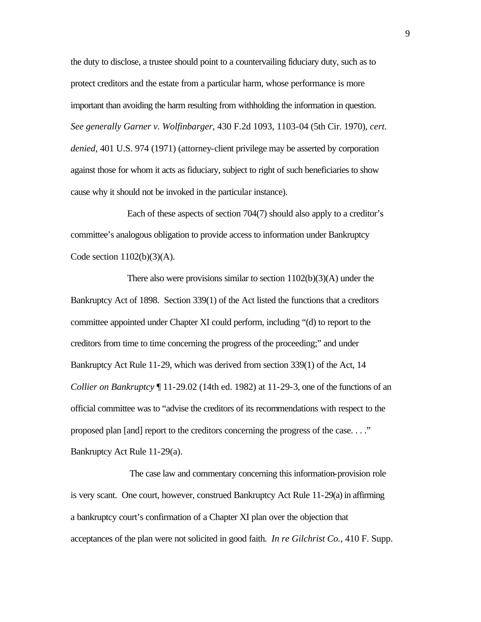the duty to disclose, a trustee should point to a countervailing fiduciary duty, such as to protect creditors and the estate from a particular harm, whose performance is more important than avoiding the harm resulting from withholding the information in question. *See generally Garner v. Wolfinbarger*, 430 F.2d 1093, 1103-04 (5th Cir. 1970), *cert. denied*, 401 U.S. 974 (1971) (attorney-client privilege may be asserted by corporation against those for whom it acts as fiduciary, subject to right of such beneficiaries to show cause why it should not be invoked in the particular instance).

Each of these aspects of section 704(7) should also apply to a creditor's committee's analogous obligation to provide access to information under Bankruptcy Code section  $1102(b)(3)(A)$ .

There also were provisions similar to section  $1102(b)(3)(A)$  under the Bankruptcy Act of 1898. Section 339(1) of the Act listed the functions that a creditors committee appointed under Chapter XI could perform, including "(d) to report to the creditors from time to time concerning the progress of the proceeding;" and under Bankruptcy Act Rule 11-29, which was derived from section 339(1) of the Act, 14 *Collier on Bankruptcy* ¶ 11-29.02 (14th ed. 1982) at 11-29-3, one of the functions of an official committee was to "advise the creditors of its recommendations with respect to the proposed plan [and] report to the creditors concerning the progress of the case. . . ." Bankruptcy Act Rule 11-29(a).

 The case law and commentary concerning this information-provision role is very scant. One court, however, construed Bankruptcy Act Rule 11-29(a) in affirming a bankruptcy court's confirmation of a Chapter XI plan over the objection that acceptances of the plan were not solicited in good faith. *In re Gilchrist Co.*, 410 F. Supp.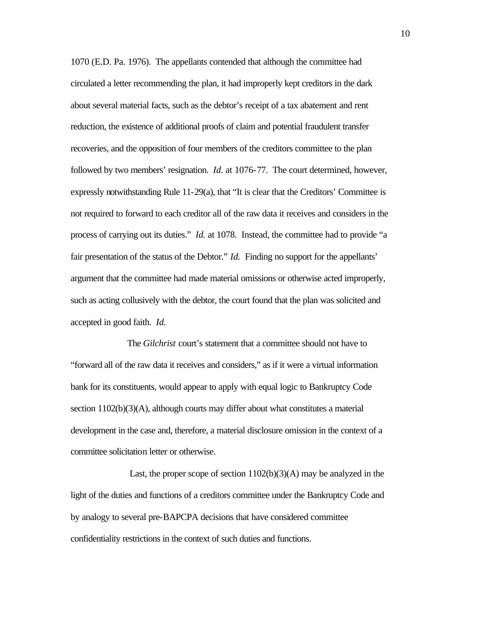1070 (E.D. Pa. 1976). The appellants contended that although the committee had circulated a letter recommending the plan, it had improperly kept creditors in the dark about several material facts, such as the debtor's receipt of a tax abatement and rent reduction, the existence of additional proofs of claim and potential fraudulent transfer recoveries, and the opposition of four members of the creditors committee to the plan followed by two members' resignation. *Id.* at 1076-77. The court determined, however, expressly notwithstanding Rule 11-29(a), that "It is clear that the Creditors' Committee is not required to forward to each creditor all of the raw data it receives and considers in the process of carrying out its duties." *Id.* at 1078. Instead, the committee had to provide "a fair presentation of the status of the Debtor." *Id.* Finding no support for the appellants' argument that the committee had made material omissions or otherwise acted improperly, such as acting collusively with the debtor, the court found that the plan was solicited and accepted in good faith. *Id.*

 The *Gilchrist* court's statement that a committee should not have to "forward all of the raw data it receives and considers," as if it were a virtual information bank for its constituents, would appear to apply with equal logic to Bankruptcy Code section 1102(b)(3)(A), although courts may differ about what constitutes a material development in the case and, therefore, a material disclosure omission in the context of a committee solicitation letter or otherwise.

Last, the proper scope of section  $1102(b)(3)(A)$  may be analyzed in the light of the duties and functions of a creditors committee under the Bankruptcy Code and by analogy to several pre-BAPCPA decisions that have considered committee confidentiality restrictions in the context of such duties and functions.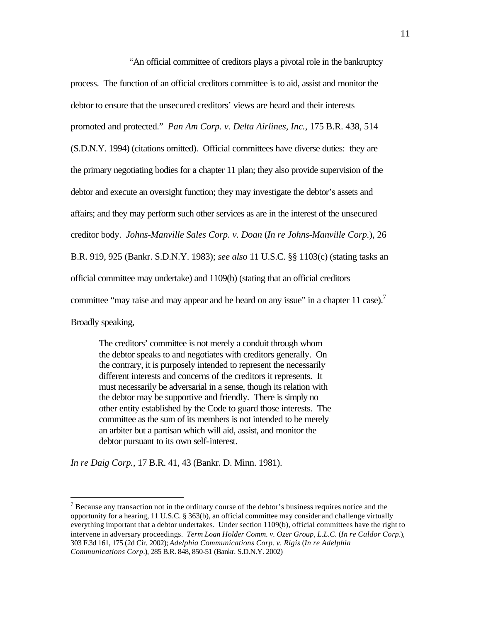"An official committee of creditors plays a pivotal role in the bankruptcy process. The function of an official creditors committee is to aid, assist and monitor the debtor to ensure that the unsecured creditors' views are heard and their interests promoted and protected." *Pan Am Corp. v. Delta Airlines, Inc.*, 175 B.R. 438, 514 (S.D.N.Y. 1994) (citations omitted). Official committees have diverse duties: they are the primary negotiating bodies for a chapter 11 plan; they also provide supervision of the debtor and execute an oversight function; they may investigate the debtor's assets and affairs; and they may perform such other services as are in the interest of the unsecured creditor body. *Johns-Manville Sales Corp. v. Doan* (*In re Johns-Manville Corp.*), 26 B.R. 919, 925 (Bankr. S.D.N.Y. 1983); *see also* 11 U.S.C. §§ 1103(c) (stating tasks an official committee may undertake) and 1109(b) (stating that an official creditors committee "may raise and may appear and be heard on any issue" in a chapter 11 case).<sup>7</sup> Broadly speaking,

The creditors' committee is not merely a conduit through whom the debtor speaks to and negotiates with creditors generally. On the contrary, it is purposely intended to represent the necessarily different interests and concerns of the creditors it represents. It must necessarily be adversarial in a sense, though its relation with the debtor may be supportive and friendly. There is simply no other entity established by the Code to guard those interests. The committee as the sum of its members is not intended to be merely an arbiter but a partisan which will aid, assist, and monitor the debtor pursuant to its own self-interest.

*In re Daig Corp.*, 17 B.R. 41, 43 (Bankr. D. Minn. 1981).

 $<sup>7</sup>$  Because any transaction not in the ordinary course of the debtor's business requires notice and the</sup> opportunity for a hearing, 11 U.S.C. § 363(b), an official committee may consider and challenge virtually everything important that a debtor undertakes. Under section 1109(b), official committees have the right to intervene in adversary proceedings. *Term Loan Holder Comm. v. Ozer Group, L.L.C.* (*In re Caldor Corp.*), 303 F.3d 161, 175 (2d Cir. 2002); *Adelphia Communications Corp. v. Rigis* (*In re Adelphia Communications Corp.*), 285 B.R. 848, 850-51 (Bankr. S.D.N.Y. 2002)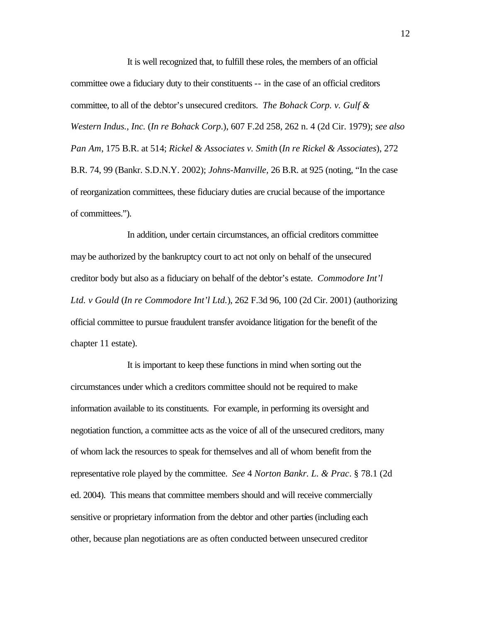It is well recognized that, to fulfill these roles, the members of an official committee owe a fiduciary duty to their constituents -- in the case of an official creditors committee, to all of the debtor's unsecured creditors. *The Bohack Corp. v. Gulf & Western Indus., Inc.* (*In re Bohack Corp*.), 607 F.2d 258, 262 n. 4 (2d Cir. 1979); *see also Pan Am*, 175 B.R. at 514; *Rickel & Associates v. Smith* (*In re Rickel & Associates*), 272 B.R. 74, 99 (Bankr. S.D.N.Y. 2002); *Johns-Manville,* 26 B.R. at 925 (noting, "In the case of reorganization committees, these fiduciary duties are crucial because of the importance of committees.").

In addition, under certain circumstances, an official creditors committee may be authorized by the bankruptcy court to act not only on behalf of the unsecured creditor body but also as a fiduciary on behalf of the debtor's estate. *Commodore Int'l Ltd. v Gould* (*In re Commodore Int'l Ltd.*), 262 F.3d 96, 100 (2d Cir. 2001) (authorizing official committee to pursue fraudulent transfer avoidance litigation for the benefit of the chapter 11 estate).

It is important to keep these functions in mind when sorting out the circumstances under which a creditors committee should not be required to make information available to its constituents. For example, in performing its oversight and negotiation function, a committee acts as the voice of all of the unsecured creditors, many of whom lack the resources to speak for themselves and all of whom benefit from the representative role played by the committee. *See* 4 *Norton Bankr. L. & Prac*. § 78.1 (2d ed. 2004). This means that committee members should and will receive commercially sensitive or proprietary information from the debtor and other parties (including each other, because plan negotiations are as often conducted between unsecured creditor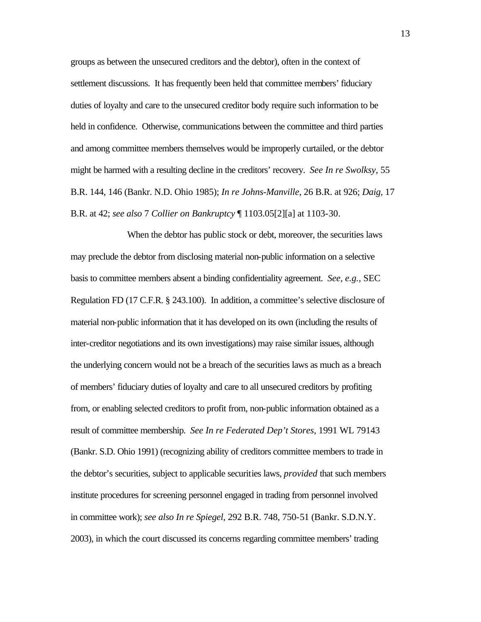groups as between the unsecured creditors and the debtor), often in the context of settlement discussions. It has frequently been held that committee members' fiduciary duties of loyalty and care to the unsecured creditor body require such information to be held in confidence. Otherwise, communications between the committee and third parties and among committee members themselves would be improperly curtailed, or the debtor might be harmed with a resulting decline in the creditors' recovery. *See In re Swolksy*, 55 B.R. 144, 146 (Bankr. N.D. Ohio 1985); *In re Johns-Manville*, 26 B.R. at 926; *Daig,* 17 B.R. at 42; *see also* 7 *Collier on Bankruptcy* ¶ 1103.05[2][a] at 1103-30.

When the debtor has public stock or debt, moreover, the securities laws may preclude the debtor from disclosing material non-public information on a selective basis to committee members absent a binding confidentiality agreement. *See, e.g.,* SEC Regulation FD (17 C.F.R. § 243.100). In addition, a committee's selective disclosure of material non-public information that it has developed on its own (including the results of inter-creditor negotiations and its own investigations) may raise similar issues, although the underlying concern would not be a breach of the securities laws as much as a breach of members' fiduciary duties of loyalty and care to all unsecured creditors by profiting from, or enabling selected creditors to profit from, non-public information obtained as a result of committee membership. *See In re Federated Dep't Stores*, 1991 WL 79143 (Bankr. S.D. Ohio 1991) (recognizing ability of creditors committee members to trade in the debtor's securities, subject to applicable securities laws, *provided* that such members institute procedures for screening personnel engaged in trading from personnel involved in committee work); *see also In re Spiegel*, 292 B.R. 748, 750-51 (Bankr. S.D.N.Y. 2003), in which the court discussed its concerns regarding committee members' trading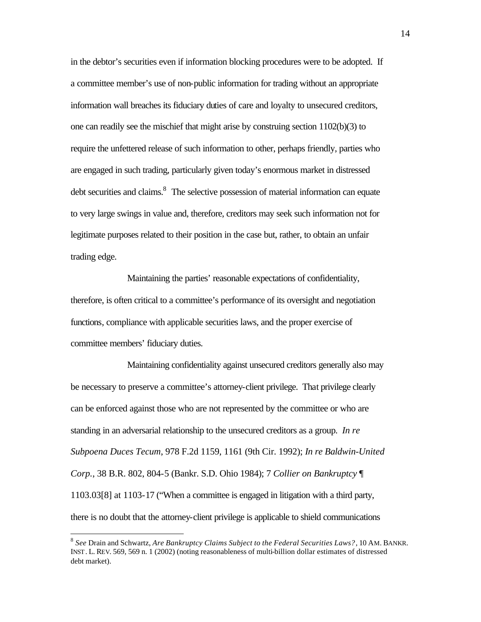in the debtor's securities even if information blocking procedures were to be adopted. If a committee member's use of non-public information for trading without an appropriate information wall breaches its fiduciary duties of care and loyalty to unsecured creditors, one can readily see the mischief that might arise by construing section 1102(b)(3) to require the unfettered release of such information to other, perhaps friendly, parties who are engaged in such trading, particularly given today's enormous market in distressed debt securities and claims.<sup>8</sup> The selective possession of material information can equate to very large swings in value and, therefore, creditors may seek such information not for legitimate purposes related to their position in the case but, rather, to obtain an unfair trading edge.

Maintaining the parties' reasonable expectations of confidentiality, therefore, is often critical to a committee's performance of its oversight and negotiation functions, compliance with applicable securities laws, and the proper exercise of committee members' fiduciary duties.

Maintaining confidentiality against unsecured creditors generally also may be necessary to preserve a committee's attorney-client privilege. That privilege clearly can be enforced against those who are not represented by the committee or who are standing in an adversarial relationship to the unsecured creditors as a group. *In re Subpoena Duces Tecum*, 978 F.2d 1159, 1161 (9th Cir. 1992); *In re Baldwin-United Corp.*, 38 B.R. 802, 804-5 (Bankr. S.D. Ohio 1984); 7 *Collier on Bankruptcy* ¶ 1103.03[8] at 1103-17 ("When a committee is engaged in litigation with a third party, there is no doubt that the attorney-client privilege is applicable to shield communications

<sup>8</sup> *See* Drain and Schwartz, *Are Bankruptcy Claims Subject to the Federal Securities Laws?*, 10 AM. BANKR. INST. L. REV. 569, 569 n. 1 (2002) (noting reasonableness of multi-billion dollar estimates of distressed debt market).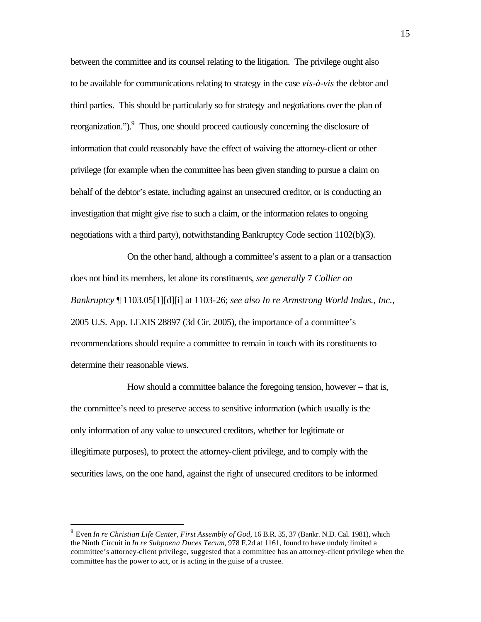between the committee and its counsel relating to the litigation. The privilege ought also to be available for communications relating to strategy in the case *vis-à-vis* the debtor and third parties. This should be particularly so for strategy and negotiations over the plan of reorganization.").<sup>9</sup> Thus, one should proceed cautiously concerning the disclosure of information that could reasonably have the effect of waiving the attorney-client or other privilege (for example when the committee has been given standing to pursue a claim on behalf of the debtor's estate, including against an unsecured creditor, or is conducting an investigation that might give rise to such a claim, or the information relates to ongoing negotiations with a third party), notwithstanding Bankruptcy Code section 1102(b)(3).

On the other hand, although a committee's assent to a plan or a transaction does not bind its members, let alone its constituents, *see generally* 7 *Collier on Bankruptcy* ¶ 1103.05[1][d][i] at 1103-26; *see also In re Armstrong World Indus., Inc.*, 2005 U.S. App. LEXIS 28897 (3d Cir. 2005), the importance of a committee's recommendations should require a committee to remain in touch with its constituents to determine their reasonable views.

How should a committee balance the foregoing tension, however – that is, the committee's need to preserve access to sensitive information (which usually is the only information of any value to unsecured creditors, whether for legitimate or illegitimate purposes), to protect the attorney-client privilege, and to comply with the securities laws, on the one hand, against the right of unsecured creditors to be informed

<sup>9</sup> Even *In re Christian Life Center, First Assembly of God*, 16 B.R. 35, 37 (Bankr. N.D. Cal. 1981), which the Ninth Circuit in *In re Subpoena Duces Tecum*, 978 F.2d at 1161, found to have unduly limited a committee's attorney-client privilege, suggested that a committee has an attorney-client privilege when the committee has the power to act, or is acting in the guise of a trustee.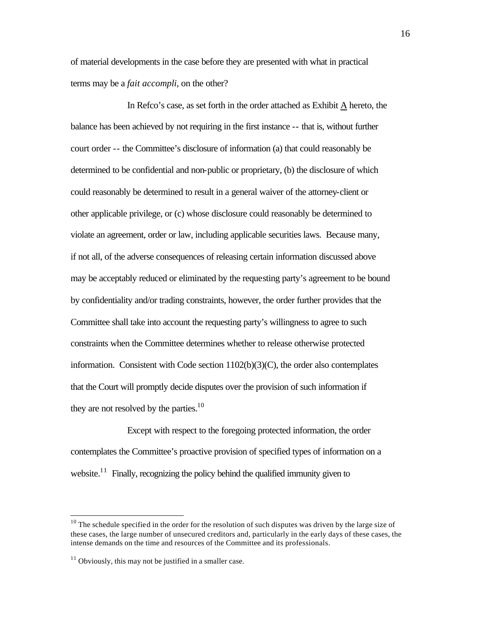of material developments in the case before they are presented with what in practical terms may be a *fait accompli*, on the other?

In Refco's case, as set forth in the order attached as Exhibit A hereto, the balance has been achieved by not requiring in the first instance -- that is, without further court order -- the Committee's disclosure of information (a) that could reasonably be determined to be confidential and non-public or proprietary, (b) the disclosure of which could reasonably be determined to result in a general waiver of the attorney-client or other applicable privilege, or (c) whose disclosure could reasonably be determined to violate an agreement, order or law, including applicable securities laws. Because many, if not all, of the adverse consequences of releasing certain information discussed above may be acceptably reduced or eliminated by the requesting party's agreement to be bound by confidentiality and/or trading constraints, however, the order further provides that the Committee shall take into account the requesting party's willingness to agree to such constraints when the Committee determines whether to release otherwise protected information. Consistent with Code section  $1102(b)(3)(C)$ , the order also contemplates that the Court will promptly decide disputes over the provision of such information if they are not resolved by the parties. $10$ 

Except with respect to the foregoing protected information, the order contemplates the Committee's proactive provision of specified types of information on a website.<sup>11</sup> Finally, recognizing the policy behind the qualified immunity given to

 $10$  The schedule specified in the order for the resolution of such disputes was driven by the large size of these cases, the large number of unsecured creditors and, particularly in the early days of these cases, the intense demands on the time and resources of the Committee and its professionals.

 $11$  Obviously, this may not be justified in a smaller case.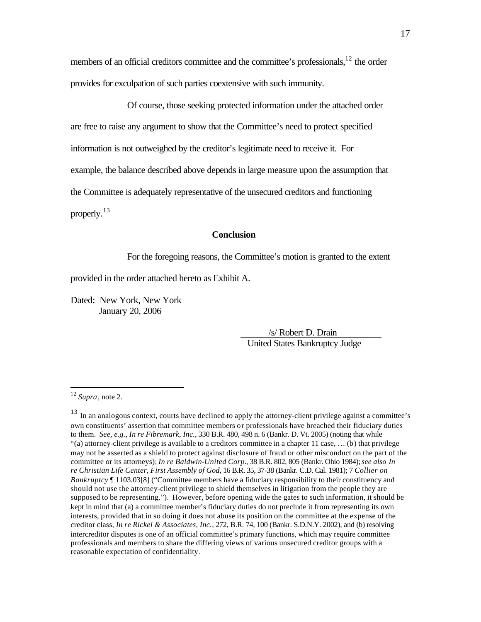members of an official creditors committee and the committee's professionals,<sup>12</sup> the order provides for exculpation of such parties coextensive with such immunity.

Of course, those seeking protected information under the attached order are free to raise any argument to show that the Committee's need to protect specified information is not outweighed by the creditor's legitimate need to receive it. For example, the balance described above depends in large measure upon the assumption that the Committee is adequately representative of the unsecured creditors and functioning properly.<sup>13</sup>

### **Conclusion**

For the foregoing reasons, the Committee's motion is granted to the extent

provided in the order attached hereto as Exhibit A.

Dated: New York, New York January 20, 2006

> /s/ Robert D. Drain United States Bankruptcy Judge

<sup>12</sup> *Supra*, note 2.

<sup>&</sup>lt;sup>13</sup> In an analogous context, courts have declined to apply the attorney-client privilege against a committee's own constituents' assertion that committee members or professionals have breached their fiduciary duties to them. *See, e.g., In re Fibremark, Inc.*, 330 B.R. 480, 498 n. 6 (Bankr. D. Vt. 2005) (noting that while "(a) attorney-client privilege is available to a creditors committee in a chapter 11 case, … (b) that privilege may not be asserted as a shield to protect against disclosure of fraud or other misconduct on the part of the committee or its attorneys); *In re Baldwin-United Corp.*, 38 B.R. 802, 805 (Bankr. Ohio 1984); *see also In re Christian Life Center, First Assembly of God*, 16 B.R. 35, 37-38 (Bankr. C.D. Cal. 1981); 7 *Collier on Bankruptcy* ¶ 1103.03[8] ("Committee members have a fiduciary responsibility to their constituency and should not use the attorney-client privilege to shield themselves in litigation from the people they are supposed to be representing."). However, before opening wide the gates to such information, it should be kept in mind that (a) a committee member's fiduciary duties do not preclude it from representing its own interests, provided that in so doing it does not abuse its position on the committee at the expense of the creditor class, *In re Rickel & Associates, Inc.*, 272, B.R. 74, 100 (Bankr. S.D.N.Y. 2002), and (b) resolving intercreditor disputes is one of an official committee's primary functions, which may require committee professionals and members to share the differing views of various unsecured creditor groups with a reasonable expectation of confidentiality.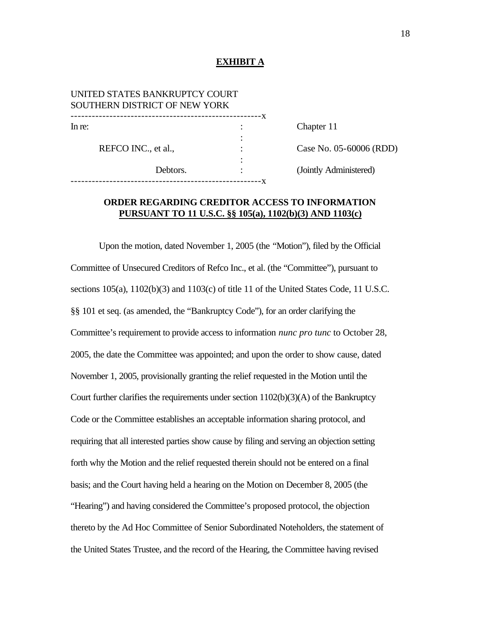#### **EXHIBIT A**

| UNITED STATES BANKRUPTCY COURT |     |                         |
|--------------------------------|-----|-------------------------|
| SOUTHERN DISTRICT OF NEW YORK  | --X |                         |
| In re:                         |     | Chapter 11              |
| REFCO INC., et al.,            |     | Case No. 05-60006 (RDD) |
| Debtors.                       |     | (Jointly Administered)  |
|                                |     |                         |

# **ORDER REGARDING CREDITOR ACCESS TO INFORMATION PURSUANT TO 11 U.S.C. §§ 105(a), 1102(b)(3) AND 1103(c)**

Upon the motion, dated November 1, 2005 (the "Motion"), filed by the Official Committee of Unsecured Creditors of Refco Inc., et al. (the "Committee"), pursuant to sections 105(a), 1102(b)(3) and 1103(c) of title 11 of the United States Code, 11 U.S.C. §§ 101 et seq. (as amended, the "Bankruptcy Code"), for an order clarifying the Committee's requirement to provide access to information *nunc pro tunc* to October 28, 2005, the date the Committee was appointed; and upon the order to show cause, dated November 1, 2005, provisionally granting the relief requested in the Motion until the Court further clarifies the requirements under section 1102(b)(3)(A) of the Bankruptcy Code or the Committee establishes an acceptable information sharing protocol, and requiring that all interested parties show cause by filing and serving an objection setting forth why the Motion and the relief requested therein should not be entered on a final basis; and the Court having held a hearing on the Motion on December 8, 2005 (the "Hearing") and having considered the Committee's proposed protocol, the objection thereto by the Ad Hoc Committee of Senior Subordinated Noteholders, the statement of the United States Trustee, and the record of the Hearing, the Committee having revised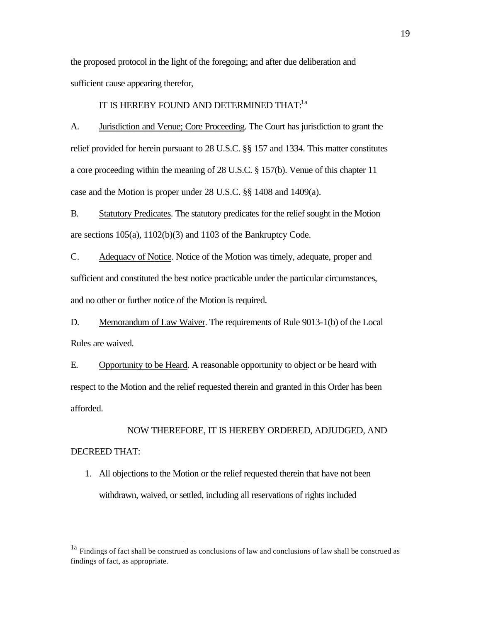the proposed protocol in the light of the foregoing; and after due deliberation and sufficient cause appearing therefor,

IT IS HEREBY FOUND AND DETERMINED THAT:<sup>1a</sup>

A. Jurisdiction and Venue; Core Proceeding. The Court has jurisdiction to grant the relief provided for herein pursuant to 28 U.S.C. §§ 157 and 1334. This matter constitutes a core proceeding within the meaning of 28 U.S.C. § 157(b). Venue of this chapter 11 case and the Motion is proper under 28 U.S.C. §§ 1408 and 1409(a).

B. Statutory Predicates. The statutory predicates for the relief sought in the Motion are sections 105(a), 1102(b)(3) and 1103 of the Bankruptcy Code.

C. Adequacy of Notice. Notice of the Motion was timely, adequate, proper and sufficient and constituted the best notice practicable under the particular circumstances, and no other or further notice of the Motion is required.

D. Memorandum of Law Waiver. The requirements of Rule 9013-1(b) of the Local Rules are waived.

E. Opportunity to be Heard. A reasonable opportunity to object or be heard with respect to the Motion and the relief requested therein and granted in this Order has been afforded.

NOW THEREFORE, IT IS HEREBY ORDERED, ADJUDGED, AND DECREED THAT:

1. All objections to the Motion or the relief requested therein that have not been withdrawn, waived, or settled, including all reservations of rights included

<sup>&</sup>lt;sup>1a</sup> Findings of fact shall be construed as conclusions of law and conclusions of law shall be construed as findings of fact, as appropriate.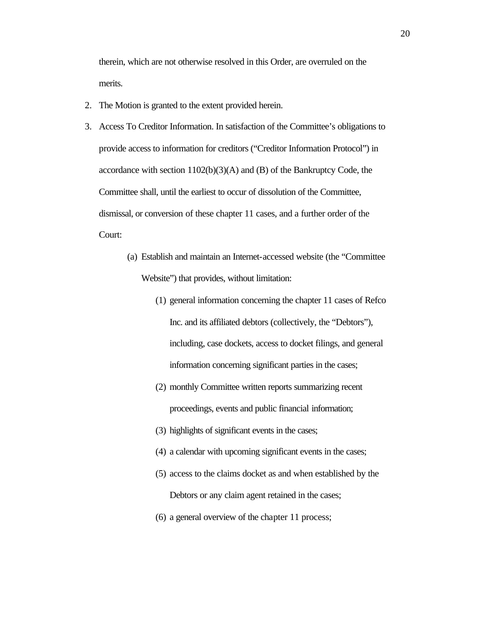therein, which are not otherwise resolved in this Order, are overruled on the merits.

- 2. The Motion is granted to the extent provided herein.
- 3. Access To Creditor Information. In satisfaction of the Committee's obligations to provide access to information for creditors ("Creditor Information Protocol") in accordance with section 1102(b)(3)(A) and (B) of the Bankruptcy Code, the Committee shall, until the earliest to occur of dissolution of the Committee, dismissal, or conversion of these chapter 11 cases, and a further order of the Court:
	- (a) Establish and maintain an Internet-accessed website (the "Committee Website") that provides, without limitation:
		- (1) general information concerning the chapter 11 cases of Refco Inc. and its affiliated debtors (collectively, the "Debtors"), including, case dockets, access to docket filings, and general information concerning significant parties in the cases;
		- (2) monthly Committee written reports summarizing recent proceedings, events and public financial information;
		- (3) highlights of significant events in the cases;
		- (4) a calendar with upcoming significant events in the cases;
		- (5) access to the claims docket as and when established by the Debtors or any claim agent retained in the cases;
		- (6) a general overview of the chapter 11 process;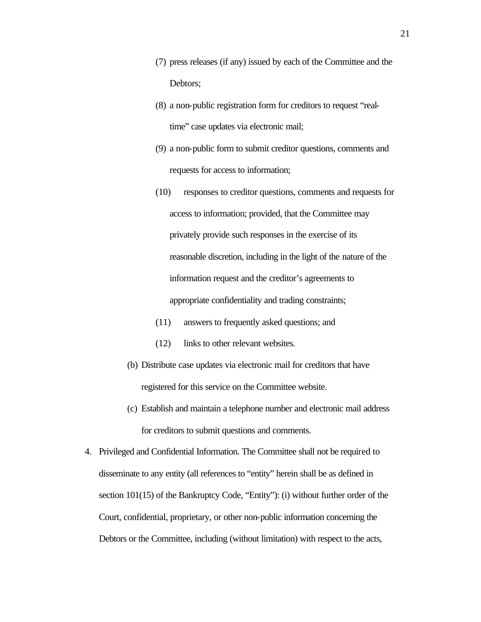- (7) press releases (if any) issued by each of the Committee and the Debtors;
- (8) a non-public registration form for creditors to request "realtime" case updates via electronic mail;
- (9) a non-public form to submit creditor questions, comments and requests for access to information;
- (10) responses to creditor questions, comments and requests for access to information; provided, that the Committee may privately provide such responses in the exercise of its reasonable discretion, including in the light of the nature of the information request and the creditor's agreements to appropriate confidentiality and trading constraints;
- (11) answers to frequently asked questions; and
- (12) links to other relevant websites.
- (b) Distribute case updates via electronic mail for creditors that have registered for this service on the Committee website.
- (c) Establish and maintain a telephone number and electronic mail address for creditors to submit questions and comments.
- 4. Privileged and Confidential Information. The Committee shall not be required to disseminate to any entity (all references to "entity" herein shall be as defined in section 101(15) of the Bankruptcy Code, "Entity"): (i) without further order of the Court, confidential, proprietary, or other non-public information concerning the Debtors or the Committee, including (without limitation) with respect to the acts,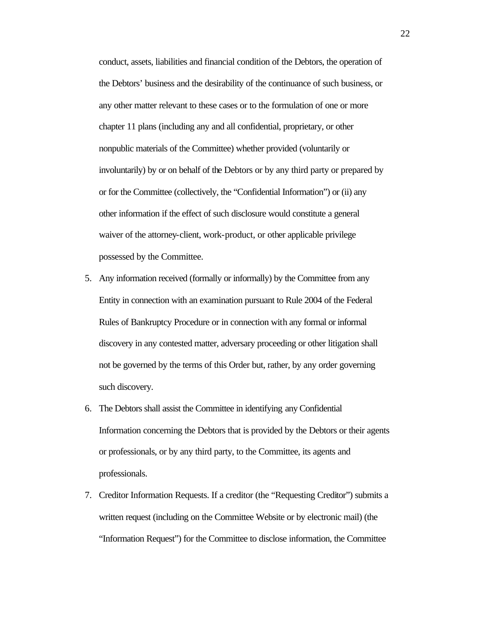conduct, assets, liabilities and financial condition of the Debtors, the operation of the Debtors' business and the desirability of the continuance of such business, or any other matter relevant to these cases or to the formulation of one or more chapter 11 plans (including any and all confidential, proprietary, or other nonpublic materials of the Committee) whether provided (voluntarily or involuntarily) by or on behalf of the Debtors or by any third party or prepared by or for the Committee (collectively, the "Confidential Information") or (ii) any other information if the effect of such disclosure would constitute a general waiver of the attorney-client, work-product, or other applicable privilege possessed by the Committee.

- 5. Any information received (formally or informally) by the Committee from any Entity in connection with an examination pursuant to Rule 2004 of the Federal Rules of Bankruptcy Procedure or in connection with any formal or informal discovery in any contested matter, adversary proceeding or other litigation shall not be governed by the terms of this Order but, rather, by any order governing such discovery.
- 6. The Debtors shall assist the Committee in identifying any Confidential Information concerning the Debtors that is provided by the Debtors or their agents or professionals, or by any third party, to the Committee, its agents and professionals.
- 7. Creditor Information Requests. If a creditor (the "Requesting Creditor") submits a written request (including on the Committee Website or by electronic mail) (the "Information Request") for the Committee to disclose information, the Committee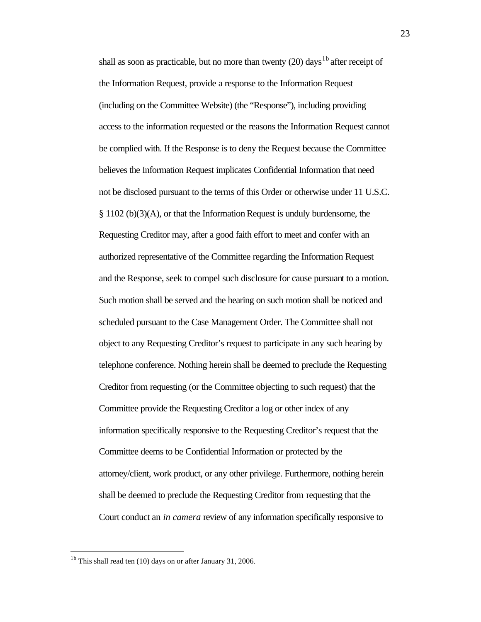shall as soon as practicable, but no more than twenty  $(20)$  days<sup>1b</sup> after receipt of the Information Request, provide a response to the Information Request (including on the Committee Website) (the "Response"), including providing access to the information requested or the reasons the Information Request cannot be complied with. If the Response is to deny the Request because the Committee believes the Information Request implicates Confidential Information that need not be disclosed pursuant to the terms of this Order or otherwise under 11 U.S.C. § 1102 (b)(3)(A), or that the Information Request is unduly burdensome, the Requesting Creditor may, after a good faith effort to meet and confer with an authorized representative of the Committee regarding the Information Request and the Response, seek to compel such disclosure for cause pursuant to a motion. Such motion shall be served and the hearing on such motion shall be noticed and scheduled pursuant to the Case Management Order. The Committee shall not object to any Requesting Creditor's request to participate in any such hearing by telephone conference. Nothing herein shall be deemed to preclude the Requesting Creditor from requesting (or the Committee objecting to such request) that the Committee provide the Requesting Creditor a log or other index of any information specifically responsive to the Requesting Creditor's request that the Committee deems to be Confidential Information or protected by the attorney/client, work product, or any other privilege. Furthermore, nothing herein shall be deemed to preclude the Requesting Creditor from requesting that the Court conduct an *in camera* review of any information specifically responsive to

<sup>&</sup>lt;sup>1b</sup> This shall read ten (10) days on or after January 31, 2006.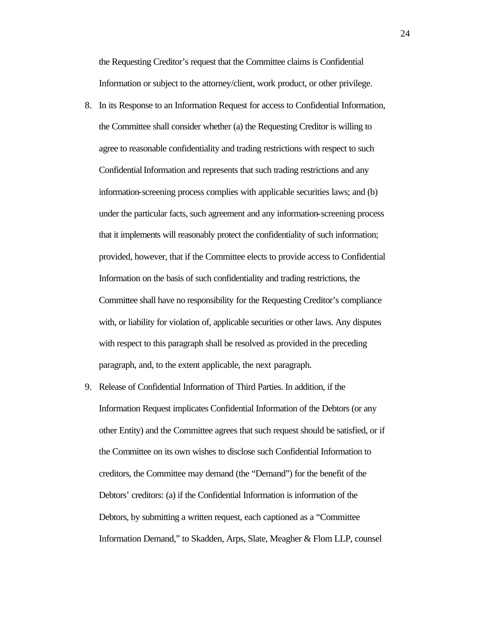the Requesting Creditor's request that the Committee claims is Confidential Information or subject to the attorney/client, work product, or other privilege.

- 8. In its Response to an Information Request for access to Confidential Information, the Committee shall consider whether (a) the Requesting Creditor is willing to agree to reasonable confidentiality and trading restrictions with respect to such Confidential Information and represents that such trading restrictions and any information-screening process complies with applicable securities laws; and (b) under the particular facts, such agreement and any information-screening process that it implements will reasonably protect the confidentiality of such information; provided, however, that if the Committee elects to provide access to Confidential Information on the basis of such confidentiality and trading restrictions, the Committee shall have no responsibility for the Requesting Creditor's compliance with, or liability for violation of, applicable securities or other laws. Any disputes with respect to this paragraph shall be resolved as provided in the preceding paragraph, and, to the extent applicable, the next paragraph.
- 9. Release of Confidential Information of Third Parties. In addition, if the Information Request implicates Confidential Information of the Debtors (or any other Entity) and the Committee agrees that such request should be satisfied, or if the Committee on its own wishes to disclose such Confidential Information to creditors, the Committee may demand (the "Demand") for the benefit of the Debtors' creditors: (a) if the Confidential Information is information of the Debtors, by submitting a written request, each captioned as a "Committee Information Demand," to Skadden, Arps, Slate, Meagher & Flom LLP, counsel

24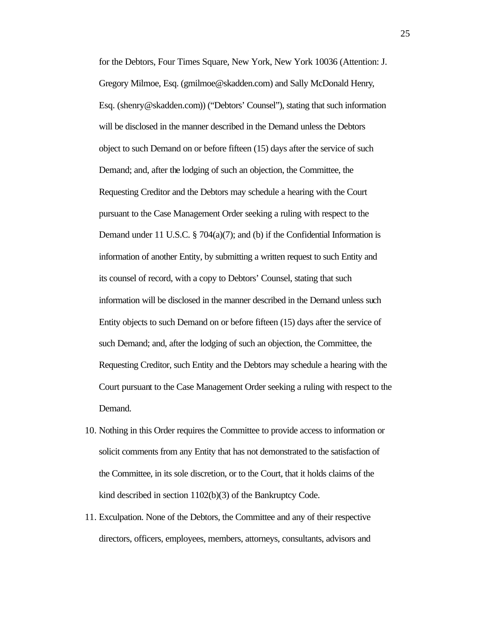for the Debtors, Four Times Square, New York, New York 10036 (Attention: J. Gregory Milmoe, Esq. (gmilmoe@skadden.com) and Sally McDonald Henry, Esq. (shenry@skadden.com)) ("Debtors' Counsel"), stating that such information will be disclosed in the manner described in the Demand unless the Debtors object to such Demand on or before fifteen (15) days after the service of such Demand; and, after the lodging of such an objection, the Committee, the Requesting Creditor and the Debtors may schedule a hearing with the Court pursuant to the Case Management Order seeking a ruling with respect to the Demand under 11 U.S.C. § 704(a)(7); and (b) if the Confidential Information is information of another Entity, by submitting a written request to such Entity and its counsel of record, with a copy to Debtors' Counsel, stating that such information will be disclosed in the manner described in the Demand unless such Entity objects to such Demand on or before fifteen (15) days after the service of such Demand; and, after the lodging of such an objection, the Committee, the Requesting Creditor, such Entity and the Debtors may schedule a hearing with the Court pursuant to the Case Management Order seeking a ruling with respect to the Demand.

- 10. Nothing in this Order requires the Committee to provide access to information or solicit comments from any Entity that has not demonstrated to the satisfaction of the Committee, in its sole discretion, or to the Court, that it holds claims of the kind described in section 1102(b)(3) of the Bankruptcy Code.
- 11. Exculpation. None of the Debtors, the Committee and any of their respective directors, officers, employees, members, attorneys, consultants, advisors and